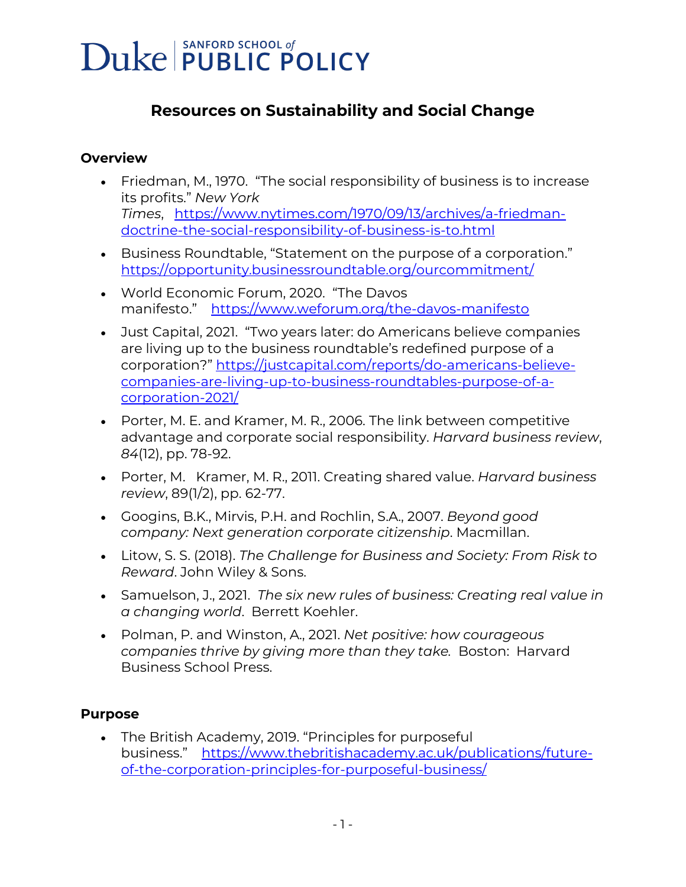### **Resources on Sustainability and Social Change**

#### **Overview**

- Friedman, M., 1970. "The social responsibility of business is to increase its profits." *New York Times*, [https://www.nytimes.com/1970/09/13/archives/a-friedman](https://urldefense.com/v3/__https:/www.nytimes.com/1970/09/13/archives/a-friedman-doctrine-the-social-responsibility-of-business-is-to.html__;!!OToaGQ!_UsKFrWrgv0jUSOeQa4Z0P4o1vsz72ndY7C9c1j1CNqnhjWtwM41JqU_yKUFTHBygg$)[doctrine-the-social-responsibility-of-business-is-to.html](https://urldefense.com/v3/__https:/www.nytimes.com/1970/09/13/archives/a-friedman-doctrine-the-social-responsibility-of-business-is-to.html__;!!OToaGQ!_UsKFrWrgv0jUSOeQa4Z0P4o1vsz72ndY7C9c1j1CNqnhjWtwM41JqU_yKUFTHBygg$)
- Business Roundtable, "Statement on the purpose of a corporation." [https://opportunity.businessroundtable.org/ourcommitment/](https://urldefense.com/v3/__https:/opportunity.businessroundtable.org/ourcommitment/__;!!OToaGQ!_UsKFrWrgv0jUSOeQa4Z0P4o1vsz72ndY7C9c1j1CNqnhjWtwM41JqU_yKUXlnZ2Nw$)
- World Economic Forum, 2020. "The Davos manifesto." [https://www.weforum.org/the-davos-manifesto](https://urldefense.com/v3/__https:/www.weforum.org/the-davos-manifesto__;!!OToaGQ!_UsKFrWrgv0jUSOeQa4Z0P4o1vsz72ndY7C9c1j1CNqnhjWtwM41JqU_yKXYIY8IHg$)
- Just Capital, 2021. "Two years later: do Americans believe companies are living up to the business roundtable's redefined purpose of a corporation?" [https://justcapital.com/reports/do-americans-believe](https://urldefense.com/v3/__https:/justcapital.com/reports/do-americans-believe-companies-are-living-up-to-business-roundtables-purpose-of-a-corporation-2021/__;!!OToaGQ!_UsKFrWrgv0jUSOeQa4Z0P4o1vsz72ndY7C9c1j1CNqnhjWtwM41JqU_yKWCFapALQ$)[companies-are-living-up-to-business-roundtables-purpose-of-a](https://urldefense.com/v3/__https:/justcapital.com/reports/do-americans-believe-companies-are-living-up-to-business-roundtables-purpose-of-a-corporation-2021/__;!!OToaGQ!_UsKFrWrgv0jUSOeQa4Z0P4o1vsz72ndY7C9c1j1CNqnhjWtwM41JqU_yKWCFapALQ$)[corporation-2021/](https://urldefense.com/v3/__https:/justcapital.com/reports/do-americans-believe-companies-are-living-up-to-business-roundtables-purpose-of-a-corporation-2021/__;!!OToaGQ!_UsKFrWrgv0jUSOeQa4Z0P4o1vsz72ndY7C9c1j1CNqnhjWtwM41JqU_yKWCFapALQ$)
- Porter, M. E. and Kramer, M. R., 2006. The link between competitive advantage and corporate social responsibility. *Harvard business review*, *84*(12), pp. 78-92.
- Porter, M. Kramer, M. R., 2011. Creating shared value. *Harvard business review*, 89(1/2), pp. 62-77.
- Googins, B.K., Mirvis, P.H. and Rochlin, S.A., 2007. *Beyond good company: Next generation corporate citizenship*. Macmillan.
- Litow, S. S. (2018). *The Challenge for Business and Society: From Risk to Reward*. John Wiley & Sons.
- Samuelson, J., 2021. *The six new rules of business: Creating real value in a changing world*. Berrett Koehler.
- Polman, P. and Winston, A., 2021. *Net positive: how courageous companies thrive by giving more than they take.* Boston: Harvard Business School Press.

#### **Purpose**

• The British Academy, 2019. "Principles for purposeful business." [https://www.thebritishacademy.ac.uk/publications/future](https://urldefense.com/v3/__https:/www.thebritishacademy.ac.uk/publications/future-of-the-corporation-principles-for-purposeful-business/__;!!OToaGQ!_UsKFrWrgv0jUSOeQa4Z0P4o1vsz72ndY7C9c1j1CNqnhjWtwM41JqU_yKW1obdvlw$)[of-the-corporation-principles-for-purposeful-business/](https://urldefense.com/v3/__https:/www.thebritishacademy.ac.uk/publications/future-of-the-corporation-principles-for-purposeful-business/__;!!OToaGQ!_UsKFrWrgv0jUSOeQa4Z0P4o1vsz72ndY7C9c1j1CNqnhjWtwM41JqU_yKW1obdvlw$)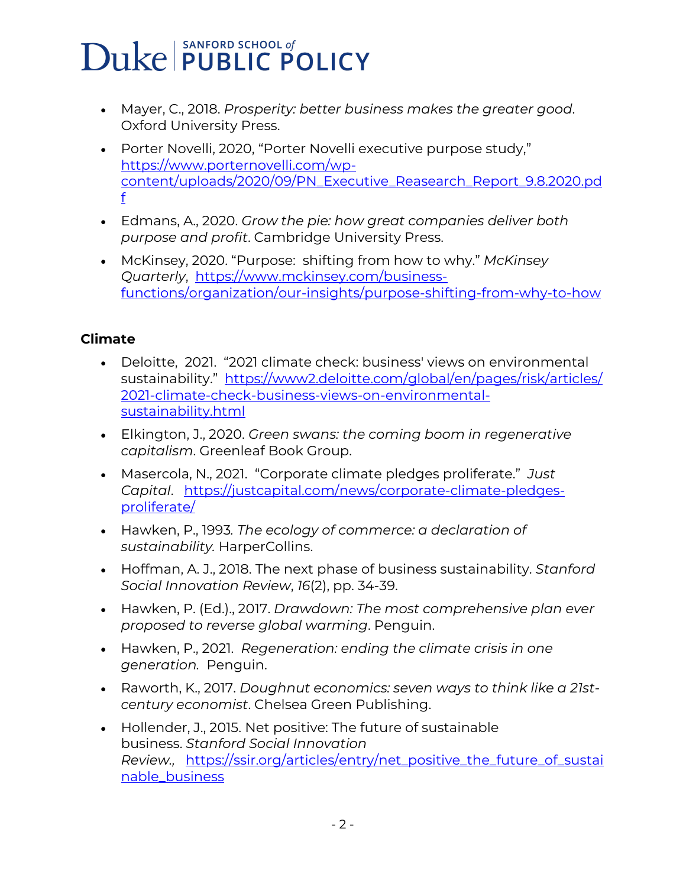- Mayer, C., 2018. *Prosperity: better business makes the greater good*. Oxford University Press.
- Porter Novelli, 2020, "Porter Novelli executive purpose study," [https://www.porternovelli.com/wp](https://urldefense.com/v3/__https:/www.porternovelli.com/wp-content/uploads/2020/09/PN_Executive_Reasearch_Report_9.8.2020.pdf__;!!OToaGQ!_UsKFrWrgv0jUSOeQa4Z0P4o1vsz72ndY7C9c1j1CNqnhjWtwM41JqU_yKWVoiRUDA$)[content/uploads/2020/09/PN\\_Executive\\_Reasearch\\_Report\\_9.8.2020.pd](https://urldefense.com/v3/__https:/www.porternovelli.com/wp-content/uploads/2020/09/PN_Executive_Reasearch_Report_9.8.2020.pdf__;!!OToaGQ!_UsKFrWrgv0jUSOeQa4Z0P4o1vsz72ndY7C9c1j1CNqnhjWtwM41JqU_yKWVoiRUDA$) [f](https://urldefense.com/v3/__https:/www.porternovelli.com/wp-content/uploads/2020/09/PN_Executive_Reasearch_Report_9.8.2020.pdf__;!!OToaGQ!_UsKFrWrgv0jUSOeQa4Z0P4o1vsz72ndY7C9c1j1CNqnhjWtwM41JqU_yKWVoiRUDA$)
- Edmans, A., 2020. *Grow the pie: how great companies deliver both purpose and profit*. Cambridge University Press.
- McKinsey, 2020. "Purpose: shifting from how to why." *McKinsey Quarterly*, [https://www.mckinsey.com/business](https://urldefense.com/v3/__https:/www.mckinsey.com/business-functions/organization/our-insights/purpose-shifting-from-why-to-how__;!!OToaGQ!_UsKFrWrgv0jUSOeQa4Z0P4o1vsz72ndY7C9c1j1CNqnhjWtwM41JqU_yKWADXtxNw$)[functions/organization/our-insights/purpose-shifting-from-why-to-how](https://urldefense.com/v3/__https:/www.mckinsey.com/business-functions/organization/our-insights/purpose-shifting-from-why-to-how__;!!OToaGQ!_UsKFrWrgv0jUSOeQa4Z0P4o1vsz72ndY7C9c1j1CNqnhjWtwM41JqU_yKWADXtxNw$)

#### **Climate**

- Deloitte, 2021. "2021 climate check: business' views on environmental sustainability." [https://www2.deloitte.com/global/en/pages/risk/articles/](https://urldefense.com/v3/__https:/www2.deloitte.com/global/en/pages/risk/articles/2021-climate-check-business-views-on-environmental-sustainability.html__;!!OToaGQ!_UsKFrWrgv0jUSOeQa4Z0P4o1vsz72ndY7C9c1j1CNqnhjWtwM41JqU_yKXBtiF_1A$) [2021-climate-check-business-views-on-environmental](https://urldefense.com/v3/__https:/www2.deloitte.com/global/en/pages/risk/articles/2021-climate-check-business-views-on-environmental-sustainability.html__;!!OToaGQ!_UsKFrWrgv0jUSOeQa4Z0P4o1vsz72ndY7C9c1j1CNqnhjWtwM41JqU_yKXBtiF_1A$)[sustainability.html](https://urldefense.com/v3/__https:/www2.deloitte.com/global/en/pages/risk/articles/2021-climate-check-business-views-on-environmental-sustainability.html__;!!OToaGQ!_UsKFrWrgv0jUSOeQa4Z0P4o1vsz72ndY7C9c1j1CNqnhjWtwM41JqU_yKXBtiF_1A$)
- Elkington, J., 2020. *Green swans: the coming boom in regenerative capitalism*. Greenleaf Book Group.
- Masercola, N., 2021. "Corporate climate pledges proliferate." *Just Capital*. [https://justcapital.com/news/corporate-climate-pledges](https://urldefense.com/v3/__https:/justcapital.com/news/corporate-climate-pledges-proliferate/__;!!OToaGQ!_UsKFrWrgv0jUSOeQa4Z0P4o1vsz72ndY7C9c1j1CNqnhjWtwM41JqU_yKUpki6q0Q$)[proliferate/](https://urldefense.com/v3/__https:/justcapital.com/news/corporate-climate-pledges-proliferate/__;!!OToaGQ!_UsKFrWrgv0jUSOeQa4Z0P4o1vsz72ndY7C9c1j1CNqnhjWtwM41JqU_yKUpki6q0Q$)
- Hawken, P., 1993*. The ecology of commerce: a declaration of sustainability.* HarperCollins.
- Hoffman, A. J., 2018. The next phase of business sustainability. *Stanford Social Innovation Review*, *16*(2), pp. 34-39.
- Hawken, P. (Ed.)., 2017. *Drawdown: The most comprehensive plan ever proposed to reverse global warming*. Penguin.
- Hawken, P., 2021. *Regeneration: ending the climate crisis in one generation.* Penguin.
- Raworth, K., 2017. *Doughnut economics: seven ways to think like a 21stcentury economist*. Chelsea Green Publishing.
- Hollender, J., 2015. Net positive: The future of sustainable business. *Stanford Social Innovation Review.,* [https://ssir.org/articles/entry/net\\_positive\\_the\\_future\\_of\\_sustai](https://urldefense.com/v3/__https:/ssir.org/articles/entry/net_positive_the_future_of_sustainable_business__;!!OToaGQ!_UsKFrWrgv0jUSOeQa4Z0P4o1vsz72ndY7C9c1j1CNqnhjWtwM41JqU_yKXuCwkZkQ$) [nable\\_business](https://urldefense.com/v3/__https:/ssir.org/articles/entry/net_positive_the_future_of_sustainable_business__;!!OToaGQ!_UsKFrWrgv0jUSOeQa4Z0P4o1vsz72ndY7C9c1j1CNqnhjWtwM41JqU_yKXuCwkZkQ$)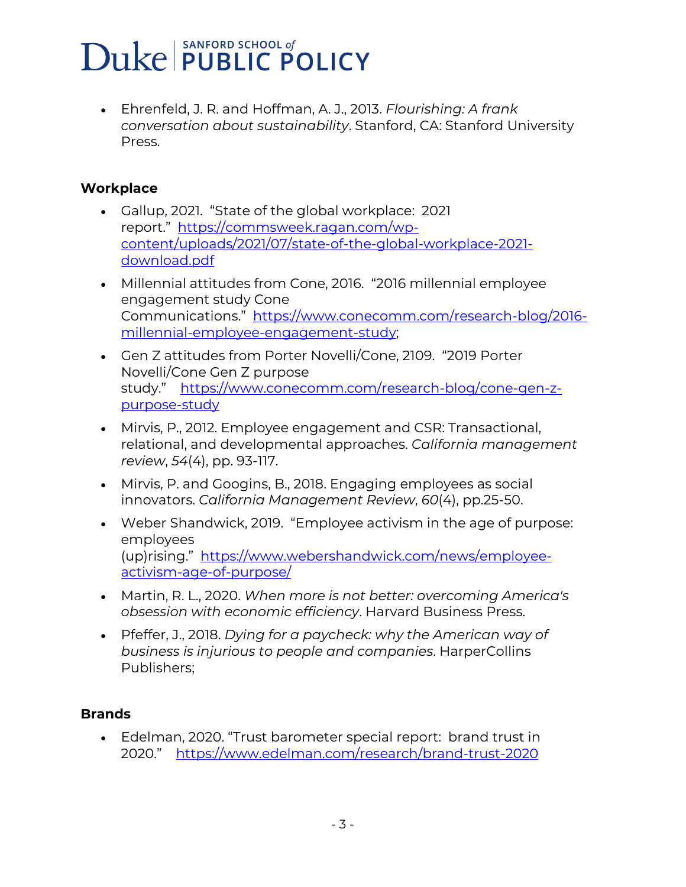• Ehrenfeld, J. R. and Hoffman, A. J., 2013. *Flourishing: A frank conversation about sustainability*. Stanford, CA: Stanford University Press.

#### **Workplace**

- Gallup, 2021. "State of the global workplace: 2021 report." [https://commsweek.ragan.com/wp](https://urldefense.com/v3/__https:/commsweek.ragan.com/wp-content/uploads/2021/07/state-of-the-global-workplace-2021-download.pdf__;!!OToaGQ!_UsKFrWrgv0jUSOeQa4Z0P4o1vsz72ndY7C9c1j1CNqnhjWtwM41JqU_yKXIc1NR5Q$)[content/uploads/2021/07/state-of-the-global-workplace-2021](https://urldefense.com/v3/__https:/commsweek.ragan.com/wp-content/uploads/2021/07/state-of-the-global-workplace-2021-download.pdf__;!!OToaGQ!_UsKFrWrgv0jUSOeQa4Z0P4o1vsz72ndY7C9c1j1CNqnhjWtwM41JqU_yKXIc1NR5Q$) [download.pdf](https://urldefense.com/v3/__https:/commsweek.ragan.com/wp-content/uploads/2021/07/state-of-the-global-workplace-2021-download.pdf__;!!OToaGQ!_UsKFrWrgv0jUSOeQa4Z0P4o1vsz72ndY7C9c1j1CNqnhjWtwM41JqU_yKXIc1NR5Q$)
- Millennial attitudes from Cone, 2016. "2016 millennial employee engagement study Cone Communications." [https://www.conecomm.com/research-blog/2016](https://urldefense.com/v3/__https:/www.conecomm.com/research-blog/2016-millennial-employee-engagement-study__;!!OToaGQ!_UsKFrWrgv0jUSOeQa4Z0P4o1vsz72ndY7C9c1j1CNqnhjWtwM41JqU_yKU9_6-QSQ$) [millennial-employee-engagement-study;](https://urldefense.com/v3/__https:/www.conecomm.com/research-blog/2016-millennial-employee-engagement-study__;!!OToaGQ!_UsKFrWrgv0jUSOeQa4Z0P4o1vsz72ndY7C9c1j1CNqnhjWtwM41JqU_yKU9_6-QSQ$)
- Gen Z attitudes from Porter Novelli/Cone, 2109. "2019 Porter Novelli/Cone Gen Z purpose study." [https://www.conecomm.com/research-blog/cone-gen-z](https://urldefense.com/v3/__https:/www.conecomm.com/research-blog/cone-gen-z-purpose-study__;!!OToaGQ!_UsKFrWrgv0jUSOeQa4Z0P4o1vsz72ndY7C9c1j1CNqnhjWtwM41JqU_yKWMrQxFLQ$)[purpose-study](https://urldefense.com/v3/__https:/www.conecomm.com/research-blog/cone-gen-z-purpose-study__;!!OToaGQ!_UsKFrWrgv0jUSOeQa4Z0P4o1vsz72ndY7C9c1j1CNqnhjWtwM41JqU_yKWMrQxFLQ$)
- Mirvis, P., 2012. Employee engagement and CSR: Transactional, relational, and developmental approaches. *California management review*, *54*(4), pp. 93-117.
- Mirvis, P. and Googins, B., 2018. Engaging employees as social innovators. *California Management Review*, *60*(4), pp.25-50.
- Weber Shandwick, 2019. "Employee activism in the age of purpose: employees (up)rising." [https://www.webershandwick.com/news/employee](https://urldefense.com/v3/__https:/www.webershandwick.com/news/employee-activism-age-of-purpose/__;!!OToaGQ!_UsKFrWrgv0jUSOeQa4Z0P4o1vsz72ndY7C9c1j1CNqnhjWtwM41JqU_yKX83Q_pXg$)[activism-age-of-purpose/](https://urldefense.com/v3/__https:/www.webershandwick.com/news/employee-activism-age-of-purpose/__;!!OToaGQ!_UsKFrWrgv0jUSOeQa4Z0P4o1vsz72ndY7C9c1j1CNqnhjWtwM41JqU_yKX83Q_pXg$)
- Martin, R. L., 2020. *When more is not better: overcoming America's obsession with economic efficiency*. Harvard Business Press.
- Pfeffer, J., 2018. *Dying for a paycheck: why the American way of business is injurious to people and companies*. HarperCollins Publishers;

#### **Brands**

• Edelman, 2020. "Trust barometer special report: brand trust in 2020." [https://www.edelman.com/research/brand-trust-2020](https://urldefense.com/v3/__https:/www.edelman.com/research/brand-trust-2020__;!!OToaGQ!_UsKFrWrgv0jUSOeQa4Z0P4o1vsz72ndY7C9c1j1CNqnhjWtwM41JqU_yKU6xLUP7A$)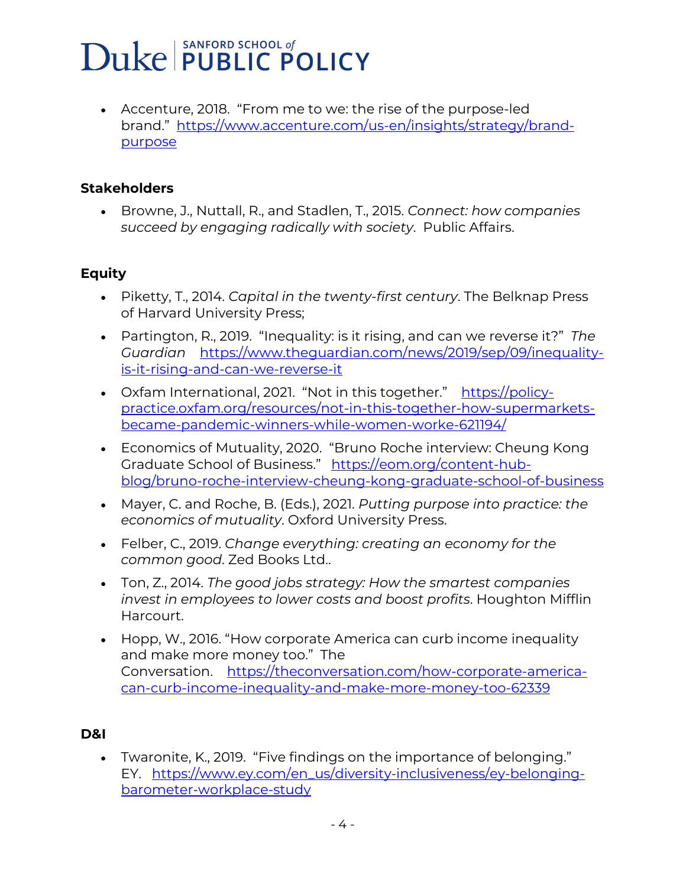• Accenture, 2018. "From me to we: the rise of the purpose-led brand." [https://www.accenture.com/us-en/insights/strategy/brand](https://urldefense.com/v3/__https:/www.accenture.com/us-en/insights/strategy/brand-purpose__;!!OToaGQ!_UsKFrWrgv0jUSOeQa4Z0P4o1vsz72ndY7C9c1j1CNqnhjWtwM41JqU_yKVs8R6cwQ$)[purpose](https://urldefense.com/v3/__https:/www.accenture.com/us-en/insights/strategy/brand-purpose__;!!OToaGQ!_UsKFrWrgv0jUSOeQa4Z0P4o1vsz72ndY7C9c1j1CNqnhjWtwM41JqU_yKVs8R6cwQ$)

#### **Stakeholders**

• Browne, J., Nuttall, R., and Stadlen, T., 2015. *Connect: how companies succeed by engaging radically with society*. Public Affairs.

#### **Equity**

- Piketty, T., 2014. *Capital in the twenty-first century*. The Belknap Press of Harvard University Press;
- Partington, R., 2019. "Inequality: is it rising, and can we reverse it?" *The Guardian* [https://www.theguardian.com/news/2019/sep/09/inequality](https://urldefense.com/v3/__https:/www.theguardian.com/news/2019/sep/09/inequality-is-it-rising-and-can-we-reverse-it__;!!OToaGQ!_UsKFrWrgv0jUSOeQa4Z0P4o1vsz72ndY7C9c1j1CNqnhjWtwM41JqU_yKUdYN31QQ$)[is-it-rising-and-can-we-reverse-it](https://urldefense.com/v3/__https:/www.theguardian.com/news/2019/sep/09/inequality-is-it-rising-and-can-we-reverse-it__;!!OToaGQ!_UsKFrWrgv0jUSOeQa4Z0P4o1vsz72ndY7C9c1j1CNqnhjWtwM41JqU_yKUdYN31QQ$)
- Oxfam International, 2021. "Not in this together." [https://policy](https://urldefense.com/v3/__https:/policy-practice.oxfam.org/resources/not-in-this-together-how-supermarkets-became-pandemic-winners-while-women-worke-621194/__;!!OToaGQ!_UsKFrWrgv0jUSOeQa4Z0P4o1vsz72ndY7C9c1j1CNqnhjWtwM41JqU_yKWO4Xk5Fg$)[practice.oxfam.org/resources/not-in-this-together-how-supermarkets](https://urldefense.com/v3/__https:/policy-practice.oxfam.org/resources/not-in-this-together-how-supermarkets-became-pandemic-winners-while-women-worke-621194/__;!!OToaGQ!_UsKFrWrgv0jUSOeQa4Z0P4o1vsz72ndY7C9c1j1CNqnhjWtwM41JqU_yKWO4Xk5Fg$)[became-pandemic-winners-while-women-worke-621194/](https://urldefense.com/v3/__https:/policy-practice.oxfam.org/resources/not-in-this-together-how-supermarkets-became-pandemic-winners-while-women-worke-621194/__;!!OToaGQ!_UsKFrWrgv0jUSOeQa4Z0P4o1vsz72ndY7C9c1j1CNqnhjWtwM41JqU_yKWO4Xk5Fg$)
- Economics of Mutuality, 2020. "Bruno Roche interview: Cheung Kong Graduate School of Business." [https://eom.org/content-hub](https://urldefense.com/v3/__https:/eom.org/content-hub-blog/bruno-roche-interview-cheung-kong-graduate-school-of-business__;!!OToaGQ!_UsKFrWrgv0jUSOeQa4Z0P4o1vsz72ndY7C9c1j1CNqnhjWtwM41JqU_yKXbcPOuaw$)[blog/bruno-roche-interview-cheung-kong-graduate-school-of-business](https://urldefense.com/v3/__https:/eom.org/content-hub-blog/bruno-roche-interview-cheung-kong-graduate-school-of-business__;!!OToaGQ!_UsKFrWrgv0jUSOeQa4Z0P4o1vsz72ndY7C9c1j1CNqnhjWtwM41JqU_yKXbcPOuaw$)
- Mayer, C. and Roche, B. (Eds.), 2021. *Putting purpose into practice: the economics of mutuality*. Oxford University Press.
- Felber, C., 2019. *Change everything: creating an economy for the common good*. Zed Books Ltd..
- Ton, Z., 2014. *The good jobs strategy: How the smartest companies invest in employees to lower costs and boost profits*. Houghton Mifflin Harcourt.
- Hopp, W., 2016. "How corporate America can curb income inequality and make more money too." The Conversation. [https://theconversation.com/how-corporate-america](https://urldefense.com/v3/__https:/theconversation.com/how-corporate-america-can-curb-income-inequality-and-make-more-money-too-62339__;!!OToaGQ!_UsKFrWrgv0jUSOeQa4Z0P4o1vsz72ndY7C9c1j1CNqnhjWtwM41JqU_yKWwuTdWEQ$)[can-curb-income-inequality-and-make-more-money-too-62339](https://urldefense.com/v3/__https:/theconversation.com/how-corporate-america-can-curb-income-inequality-and-make-more-money-too-62339__;!!OToaGQ!_UsKFrWrgv0jUSOeQa4Z0P4o1vsz72ndY7C9c1j1CNqnhjWtwM41JqU_yKWwuTdWEQ$)

#### **D&I**

• Twaronite, K., 2019. "Five findings on the importance of belonging." EY. [https://www.ey.com/en\\_us/diversity-inclusiveness/ey-belonging](https://urldefense.com/v3/__https:/www.ey.com/en_us/diversity-inclusiveness/ey-belonging-barometer-workplace-study__;!!OToaGQ!_UsKFrWrgv0jUSOeQa4Z0P4o1vsz72ndY7C9c1j1CNqnhjWtwM41JqU_yKVGm481Xg$)[barometer-workplace-study](https://urldefense.com/v3/__https:/www.ey.com/en_us/diversity-inclusiveness/ey-belonging-barometer-workplace-study__;!!OToaGQ!_UsKFrWrgv0jUSOeQa4Z0P4o1vsz72ndY7C9c1j1CNqnhjWtwM41JqU_yKVGm481Xg$)